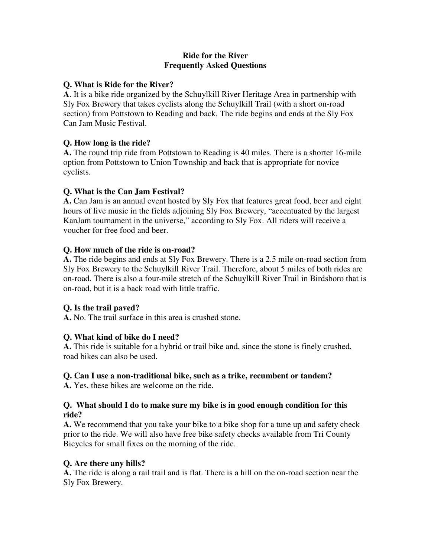#### **Ride for the River Frequently Asked Questions**

### **Q. What is Ride for the River?**

**A**. It is a bike ride organized by the Schuylkill River Heritage Area in partnership with Sly Fox Brewery that takes cyclists along the Schuylkill Trail (with a short on-road section) from Pottstown to Reading and back. The ride begins and ends at the Sly Fox Can Jam Music Festival.

# **Q. How long is the ride?**

**A.** The round trip ride from Pottstown to Reading is 40 miles. There is a shorter 16-mile option from Pottstown to Union Township and back that is appropriate for novice cyclists.

# **Q. What is the Can Jam Festival?**

**A.** Can Jam is an annual event hosted by Sly Fox that features great food, beer and eight hours of live music in the fields adjoining Sly Fox Brewery, "accentuated by the largest KanJam tournament in the universe," according to Sly Fox. All riders will receive a voucher for free food and beer.

# **Q. How much of the ride is on-road?**

**A.** The ride begins and ends at Sly Fox Brewery. There is a 2.5 mile on-road section from Sly Fox Brewery to the Schuylkill River Trail. Therefore, about 5 miles of both rides are on-road. There is also a four-mile stretch of the Schuylkill River Trail in Birdsboro that is on-road, but it is a back road with little traffic.

# **Q. Is the trail paved?**

**A.** No. The trail surface in this area is crushed stone.

# **Q. What kind of bike do I need?**

**A.** This ride is suitable for a hybrid or trail bike and, since the stone is finely crushed, road bikes can also be used.

# **Q. Can I use a non-traditional bike, such as a trike, recumbent or tandem?**

**A.** Yes, these bikes are welcome on the ride.

#### **Q. What should I do to make sure my bike is in good enough condition for this ride?**

**A.** We recommend that you take your bike to a bike shop for a tune up and safety check prior to the ride. We will also have free bike safety checks available from Tri County Bicycles for small fixes on the morning of the ride.

# **Q. Are there any hills?**

**A.** The ride is along a rail trail and is flat. There is a hill on the on-road section near the Sly Fox Brewery.